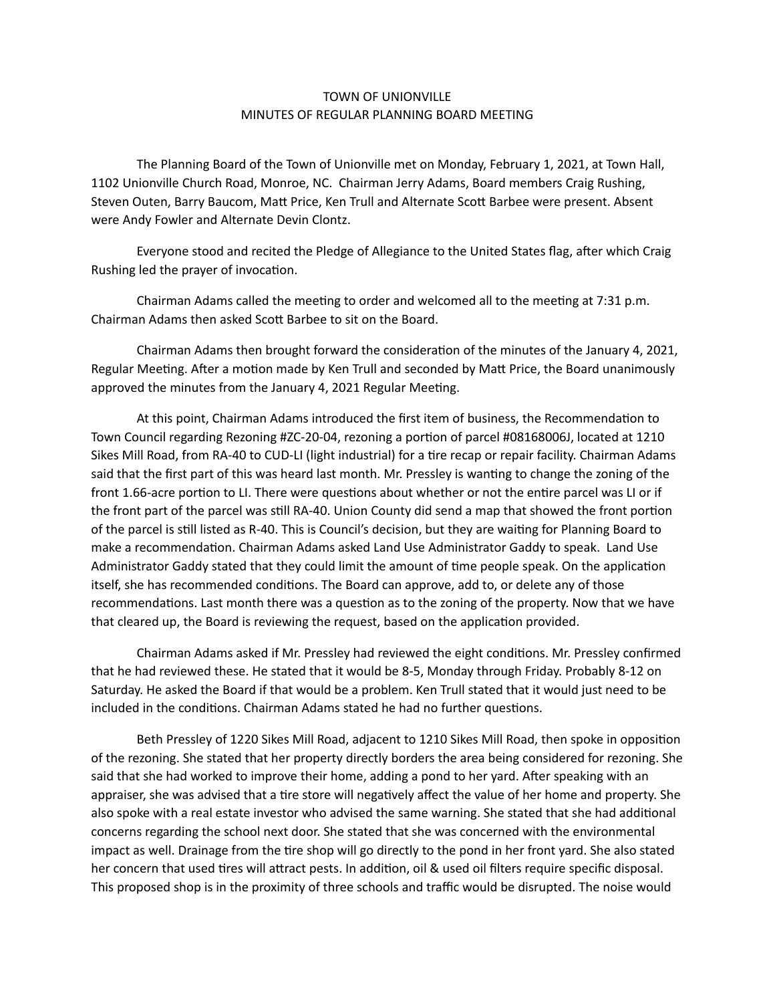## TOWN OF UNIONVILLE MINUTES OF REGULAR PLANNING BOARD MEETING

 The Planning Board of the Town of Unionville met on Monday, February 1, 2021, at Town Hall, 1102 Unionville Church Road, Monroe, NC. Chairman Jerry Adams, Board members Craig Rushing, Steven Outen, Barry Baucom, Matt Price, Ken Trull and Alternate Scott Barbee were present. Absent were Andy Fowler and Alternate Devin Clontz.

Everyone stood and recited the Pledge of Allegiance to the United States flag, after which Craig Rushing led the prayer of invocation.

Chairman Adams called the meeting to order and welcomed all to the meeting at  $7:31$  p.m. Chairman Adams then asked Scott Barbee to sit on the Board.

Chairman Adams then brought forward the consideration of the minutes of the January 4, 2021, Regular Meeting. After a motion made by Ken Trull and seconded by Matt Price, the Board unanimously approved the minutes from the January 4, 2021 Regular Meeting.

At this point, Chairman Adams introduced the first item of business, the Recommendation to Town Council regarding Rezoning #ZC-20-04, rezoning a portion of parcel #08168006J, located at 1210 Sikes Mill Road, from RA-40 to CUD-LI (light industrial) for a tire recap or repair facility. Chairman Adams said that the first part of this was heard last month. Mr. Pressley is wanting to change the zoning of the front 1.66-acre portion to LI. There were questions about whether or not the entire parcel was LI or if the front part of the parcel was still RA-40. Union County did send a map that showed the front portion of the parcel is still listed as R-40. This is Council's decision, but they are waiting for Planning Board to make a recommendation. Chairman Adams asked Land Use Administrator Gaddy to speak. Land Use Administrator Gaddy stated that they could limit the amount of time people speak. On the application itself, she has recommended conditions. The Board can approve, add to, or delete any of those recommendations. Last month there was a question as to the zoning of the property. Now that we have that cleared up, the Board is reviewing the request, based on the application provided.

Chairman Adams asked if Mr. Pressley had reviewed the eight conditions. Mr. Pressley confirmed that he had reviewed these. He stated that it would be 8-5, Monday through Friday. Probably 8-12 on Saturday. He asked the Board if that would be a problem. Ken Trull stated that it would just need to be included in the conditions. Chairman Adams stated he had no further questions.

Beth Pressley of 1220 Sikes Mill Road, adjacent to 1210 Sikes Mill Road, then spoke in opposition of the rezoning. She stated that her property directly borders the area being considered for rezoning. She said that she had worked to improve their home, adding a pond to her yard. After speaking with an appraiser, she was advised that a tire store will negatively affect the value of her home and property. She also spoke with a real estate investor who advised the same warning. She stated that she had additional concerns regarding the school next door. She stated that she was concerned with the environmental impact as well. Drainage from the tire shop will go directly to the pond in her front yard. She also stated her concern that used tires will attract pests. In addition, oil & used oil filters require specific disposal. This proposed shop is in the proximity of three schools and traffic would be disrupted. The noise would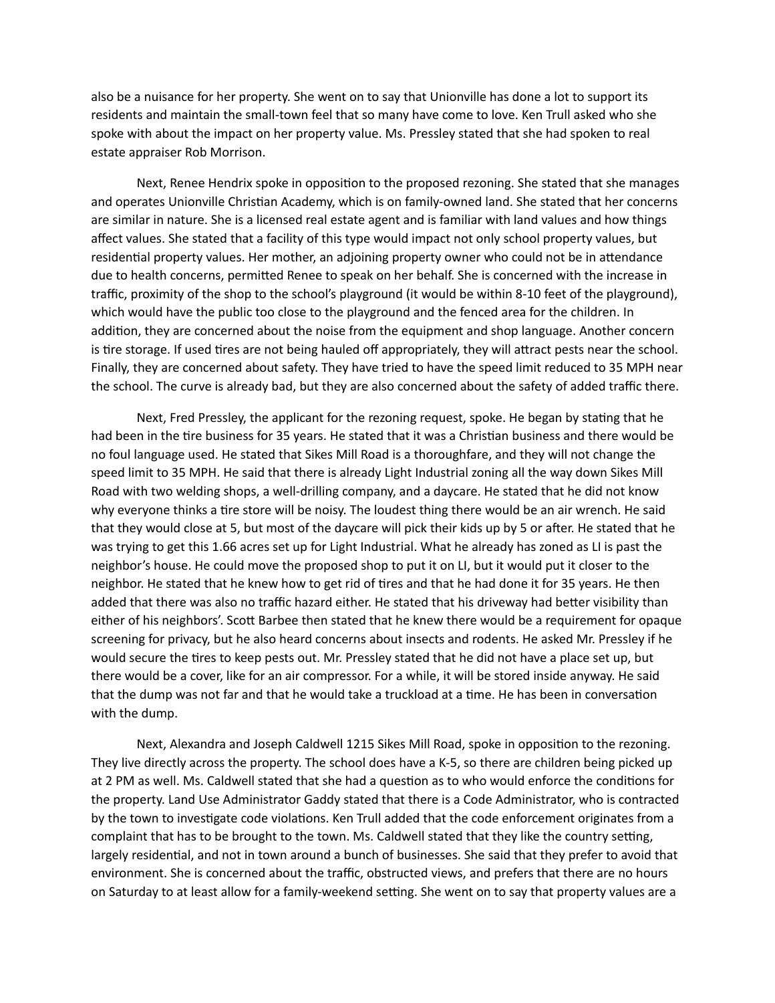also be a nuisance for her property. She went on to say that Unionville has done a lot to support its residents and maintain the small-town feel that so many have come to love. Ken Trull asked who she spoke with about the impact on her property value. Ms. Pressley stated that she had spoken to real estate appraiser Rob Morrison.

Next, Renee Hendrix spoke in opposition to the proposed rezoning. She stated that she manages and operates Unionville Christian Academy, which is on family-owned land. She stated that her concerns are similar in nature. She is a licensed real estate agent and is familiar with land values and how things affect values. She stated that a facility of this type would impact not only school property values, but residential property values. Her mother, an adjoining property owner who could not be in attendance due to health concerns, permitted Renee to speak on her behalf. She is concerned with the increase in traffic, proximity of the shop to the school's playground (it would be within 8-10 feet of the playground), which would have the public too close to the playground and the fenced area for the children. In addition, they are concerned about the noise from the equipment and shop language. Another concern is tire storage. If used tires are not being hauled off appropriately, they will attract pests near the school. Finally, they are concerned about safety. They have tried to have the speed limit reduced to 35 MPH near the school. The curve is already bad, but they are also concerned about the safety of added traffic there.

Next, Fred Pressley, the applicant for the rezoning request, spoke. He began by stating that he had been in the tire business for 35 years. He stated that it was a Christian business and there would be no foul language used. He stated that Sikes Mill Road is a thoroughfare, and they will not change the speed limit to 35 MPH. He said that there is already Light Industrial zoning all the way down Sikes Mill Road with two welding shops, a well-drilling company, and a daycare. He stated that he did not know why everyone thinks a tire store will be noisy. The loudest thing there would be an air wrench. He said that they would close at 5, but most of the daycare will pick their kids up by 5 or after. He stated that he was trying to get this 1.66 acres set up for Light Industrial. What he already has zoned as LI is past the neighbor's house. He could move the proposed shop to put it on LI, but it would put it closer to the neighbor. He stated that he knew how to get rid of tires and that he had done it for 35 years. He then added that there was also no traffic hazard either. He stated that his driveway had better visibility than either of his neighbors'. Scott Barbee then stated that he knew there would be a requirement for opaque screening for privacy, but he also heard concerns about insects and rodents. He asked Mr. Pressley if he would secure the tires to keep pests out. Mr. Pressley stated that he did not have a place set up, but there would be a cover, like for an air compressor. For a while, it will be stored inside anyway. He said that the dump was not far and that he would take a truckload at a time. He has been in conversation with the dump.

Next, Alexandra and Joseph Caldwell 1215 Sikes Mill Road, spoke in opposition to the rezoning. They live directly across the property. The school does have a K-5, so there are children being picked up at 2 PM as well. Ms. Caldwell stated that she had a question as to who would enforce the conditions for the property. Land Use Administrator Gaddy stated that there is a Code Administrator, who is contracted by the town to investigate code violations. Ken Trull added that the code enforcement originates from a complaint that has to be brought to the town. Ms. Caldwell stated that they like the country setting, largely residential, and not in town around a bunch of businesses. She said that they prefer to avoid that environment. She is concerned about the traffic, obstructed views, and prefers that there are no hours on Saturday to at least allow for a family-weekend setting. She went on to say that property values are a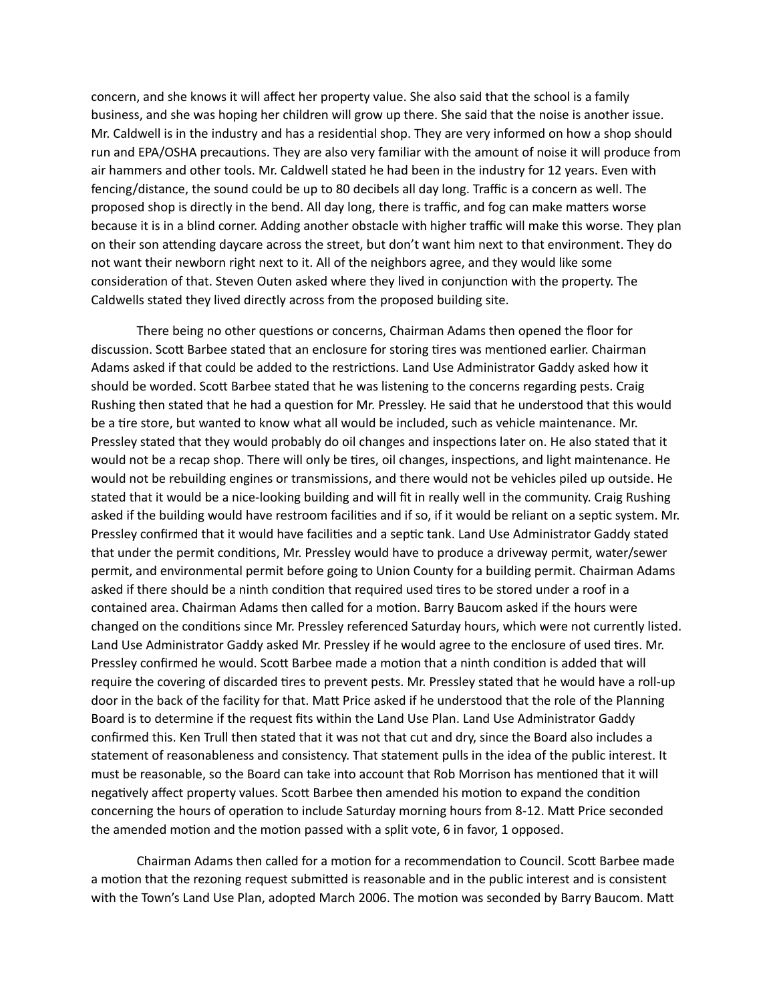concern, and she knows it will affect her property value. She also said that the school is a family business, and she was hoping her children will grow up there. She said that the noise is another issue. Mr. Caldwell is in the industry and has a residential shop. They are very informed on how a shop should run and EPA/OSHA precautions. They are also very familiar with the amount of noise it will produce from air hammers and other tools. Mr. Caldwell stated he had been in the industry for 12 years. Even with fencing/distance, the sound could be up to 80 decibels all day long. Traffic is a concern as well. The proposed shop is directly in the bend. All day long, there is traffic, and fog can make matters worse because it is in a blind corner. Adding another obstacle with higher traffic will make this worse. They plan on their son attending daycare across the street, but don't want him next to that environment. They do not want their newborn right next to it. All of the neighbors agree, and they would like some consideration of that. Steven Outen asked where they lived in conjunction with the property. The Caldwells stated they lived directly across from the proposed building site.

There being no other questions or concerns, Chairman Adams then opened the floor for discussion. Scott Barbee stated that an enclosure for storing tires was mentioned earlier. Chairman Adams asked if that could be added to the restrictions. Land Use Administrator Gaddy asked how it should be worded. Scott Barbee stated that he was listening to the concerns regarding pests. Craig Rushing then stated that he had a question for Mr. Pressley. He said that he understood that this would be a tire store, but wanted to know what all would be included, such as vehicle maintenance. Mr. Pressley stated that they would probably do oil changes and inspections later on. He also stated that it would not be a recap shop. There will only be tires, oil changes, inspections, and light maintenance. He would not be rebuilding engines or transmissions, and there would not be vehicles piled up outside. He stated that it would be a nice-looking building and will fit in really well in the community. Craig Rushing asked if the building would have restroom facilities and if so, if it would be reliant on a septic system. Mr. Pressley confirmed that it would have facilities and a septic tank. Land Use Administrator Gaddy stated that under the permit conditions, Mr. Pressley would have to produce a driveway permit, water/sewer permit, and environmental permit before going to Union County for a building permit. Chairman Adams asked if there should be a ninth condition that required used tires to be stored under a roof in a contained area. Chairman Adams then called for a motion. Barry Baucom asked if the hours were changed on the conditions since Mr. Pressley referenced Saturday hours, which were not currently listed. Land Use Administrator Gaddy asked Mr. Pressley if he would agree to the enclosure of used tires. Mr. Pressley confirmed he would. Scott Barbee made a motion that a ninth condition is added that will require the covering of discarded tires to prevent pests. Mr. Pressley stated that he would have a roll-up door in the back of the facility for that. Matt Price asked if he understood that the role of the Planning Board is to determine if the request fits within the Land Use Plan. Land Use Administrator Gaddy confirmed this. Ken Trull then stated that it was not that cut and dry, since the Board also includes a statement of reasonableness and consistency. That statement pulls in the idea of the public interest. It must be reasonable, so the Board can take into account that Rob Morrison has mentioned that it will negatively affect property values. Scott Barbee then amended his motion to expand the condition concerning the hours of operation to include Saturday morning hours from 8-12. Matt Price seconded the amended motion and the motion passed with a split vote, 6 in favor, 1 opposed.

Chairman Adams then called for a motion for a recommendation to Council. Scott Barbee made a motion that the rezoning request submitted is reasonable and in the public interest and is consistent with the Town's Land Use Plan, adopted March 2006. The motion was seconded by Barry Baucom. Matt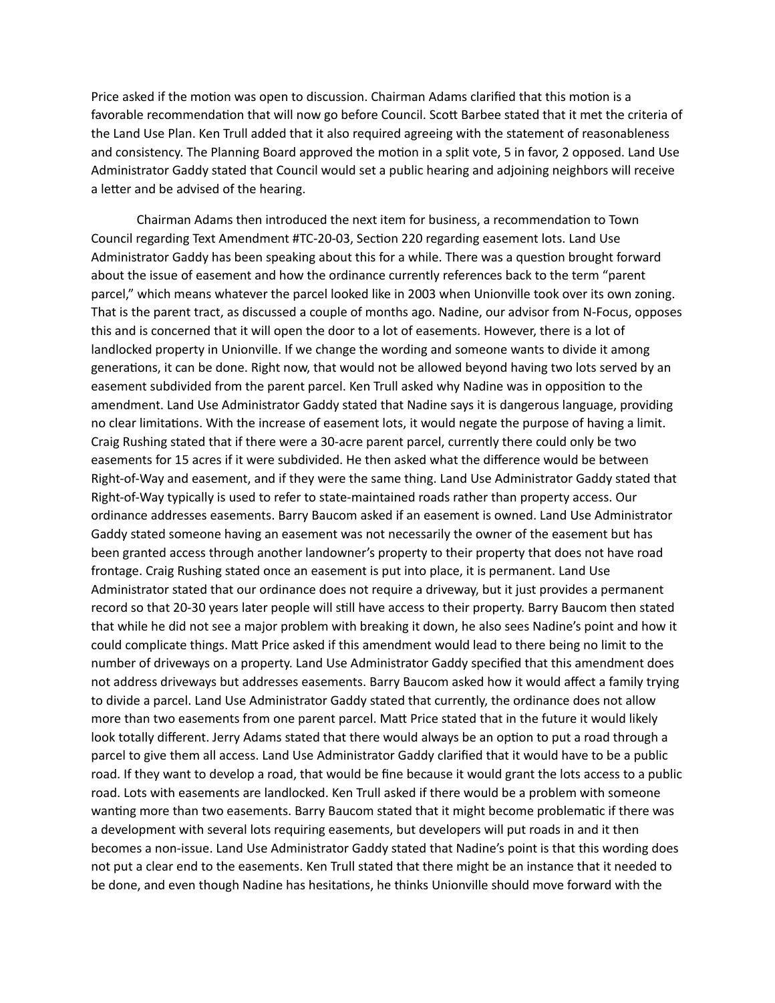Price asked if the motion was open to discussion. Chairman Adams clarified that this motion is a favorable recommendation that will now go before Council. Scott Barbee stated that it met the criteria of the Land Use Plan. Ken Trull added that it also required agreeing with the statement of reasonableness and consistency. The Planning Board approved the motion in a split vote, 5 in favor, 2 opposed. Land Use Administrator Gaddy stated that Council would set a public hearing and adjoining neighbors will receive a letter and be advised of the hearing.

Chairman Adams then introduced the next item for business, a recommendation to Town Council regarding Text Amendment #TC-20-03, Section 220 regarding easement lots. Land Use Administrator Gaddy has been speaking about this for a while. There was a question brought forward about the issue of easement and how the ordinance currently references back to the term "parent parcel," which means whatever the parcel looked like in 2003 when Unionville took over its own zoning. That is the parent tract, as discussed a couple of months ago. Nadine, our advisor from N-Focus, opposes this and is concerned that it will open the door to a lot of easements. However, there is a lot of landlocked property in Unionville. If we change the wording and someone wants to divide it among generations, it can be done. Right now, that would not be allowed beyond having two lots served by an easement subdivided from the parent parcel. Ken Trull asked why Nadine was in opposition to the amendment. Land Use Administrator Gaddy stated that Nadine says it is dangerous language, providing no clear limitations. With the increase of easement lots, it would negate the purpose of having a limit. Craig Rushing stated that if there were a 30-acre parent parcel, currently there could only be two easements for 15 acres if it were subdivided. He then asked what the difference would be between Right-of-Way and easement, and if they were the same thing. Land Use Administrator Gaddy stated that Right-of-Way typically is used to refer to state-maintained roads rather than property access. Our ordinance addresses easements. Barry Baucom asked if an easement is owned. Land Use Administrator Gaddy stated someone having an easement was not necessarily the owner of the easement but has been granted access through another landowner's property to their property that does not have road frontage. Craig Rushing stated once an easement is put into place, it is permanent. Land Use Administrator stated that our ordinance does not require a driveway, but it just provides a permanent record so that 20-30 years later people will still have access to their property. Barry Baucom then stated that while he did not see a major problem with breaking it down, he also sees Nadine's point and how it could complicate things. Matt Price asked if this amendment would lead to there being no limit to the number of driveways on a property. Land Use Administrator Gaddy specified that this amendment does not address driveways but addresses easements. Barry Baucom asked how it would affect a family trying to divide a parcel. Land Use Administrator Gaddy stated that currently, the ordinance does not allow more than two easements from one parent parcel. Matt Price stated that in the future it would likely look totally different. Jerry Adams stated that there would always be an option to put a road through a parcel to give them all access. Land Use Administrator Gaddy clarified that it would have to be a public road. If they want to develop a road, that would be fine because it would grant the lots access to a public road. Lots with easements are landlocked. Ken Trull asked if there would be a problem with someone wanting more than two easements. Barry Baucom stated that it might become problematic if there was a development with several lots requiring easements, but developers will put roads in and it then becomes a non-issue. Land Use Administrator Gaddy stated that Nadine's point is that this wording does not put a clear end to the easements. Ken Trull stated that there might be an instance that it needed to be done, and even though Nadine has hesitations, he thinks Unionville should move forward with the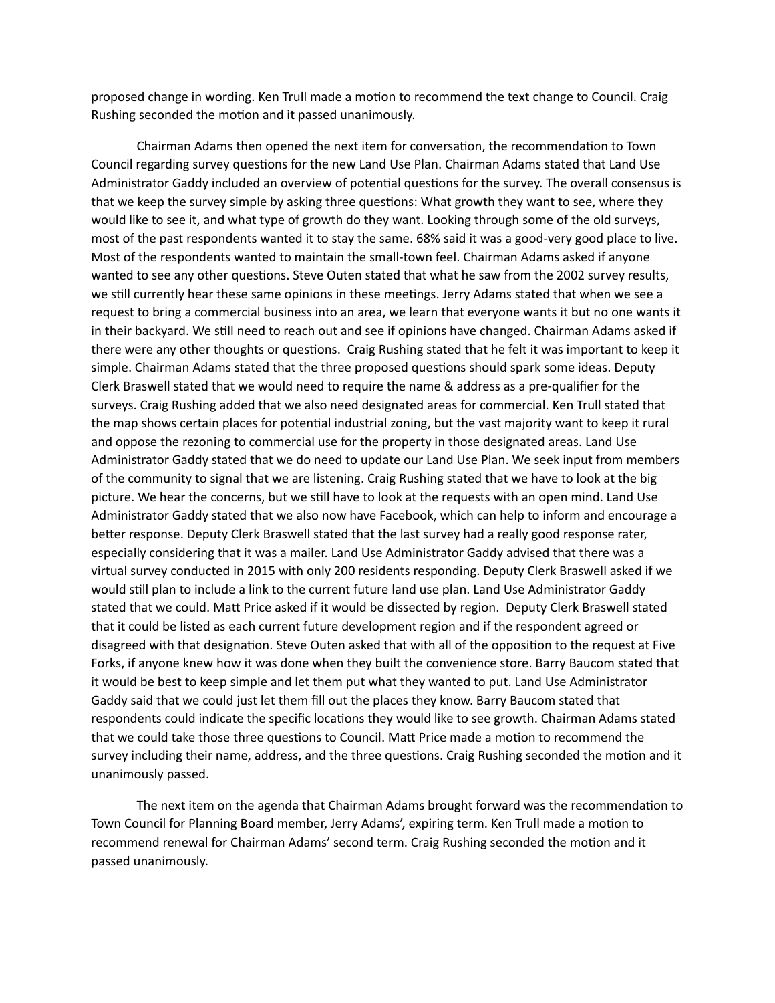proposed change in wording. Ken Trull made a motion to recommend the text change to Council. Craig Rushing seconded the motion and it passed unanimously.

Chairman Adams then opened the next item for conversation, the recommendation to Town Council regarding survey questions for the new Land Use Plan. Chairman Adams stated that Land Use Administrator Gaddy included an overview of potential questions for the survey. The overall consensus is that we keep the survey simple by asking three questions: What growth they want to see, where they would like to see it, and what type of growth do they want. Looking through some of the old surveys, most of the past respondents wanted it to stay the same. 68% said it was a good-very good place to live. Most of the respondents wanted to maintain the small-town feel. Chairman Adams asked if anyone wanted to see any other questions. Steve Outen stated that what he saw from the 2002 survey results, we still currently hear these same opinions in these meetings. Jerry Adams stated that when we see a request to bring a commercial business into an area, we learn that everyone wants it but no one wants it in their backyard. We still need to reach out and see if opinions have changed. Chairman Adams asked if there were any other thoughts or questions. Craig Rushing stated that he felt it was important to keep it simple. Chairman Adams stated that the three proposed questions should spark some ideas. Deputy Clerk Braswell stated that we would need to require the name & address as a pre-qualifier for the surveys. Craig Rushing added that we also need designated areas for commercial. Ken Trull stated that the map shows certain places for potential industrial zoning, but the vast majority want to keep it rural and oppose the rezoning to commercial use for the property in those designated areas. Land Use Administrator Gaddy stated that we do need to update our Land Use Plan. We seek input from members of the community to signal that we are listening. Craig Rushing stated that we have to look at the big picture. We hear the concerns, but we still have to look at the requests with an open mind. Land Use Administrator Gaddy stated that we also now have Facebook, which can help to inform and encourage a better response. Deputy Clerk Braswell stated that the last survey had a really good response rater, especially considering that it was a mailer. Land Use Administrator Gaddy advised that there was a virtual survey conducted in 2015 with only 200 residents responding. Deputy Clerk Braswell asked if we would still plan to include a link to the current future land use plan. Land Use Administrator Gaddy stated that we could. Matt Price asked if it would be dissected by region. Deputy Clerk Braswell stated that it could be listed as each current future development region and if the respondent agreed or disagreed with that designation. Steve Outen asked that with all of the opposition to the request at Five Forks, if anyone knew how it was done when they built the convenience store. Barry Baucom stated that it would be best to keep simple and let them put what they wanted to put. Land Use Administrator Gaddy said that we could just let them fill out the places they know. Barry Baucom stated that respondents could indicate the specific locations they would like to see growth. Chairman Adams stated that we could take those three questions to Council. Matt Price made a motion to recommend the survey including their name, address, and the three questions. Craig Rushing seconded the motion and it unanimously passed.

The next item on the agenda that Chairman Adams brought forward was the recommendation to Town Council for Planning Board member, Jerry Adams', expiring term. Ken Trull made a motion to recommend renewal for Chairman Adams' second term. Craig Rushing seconded the motion and it passed unanimously.